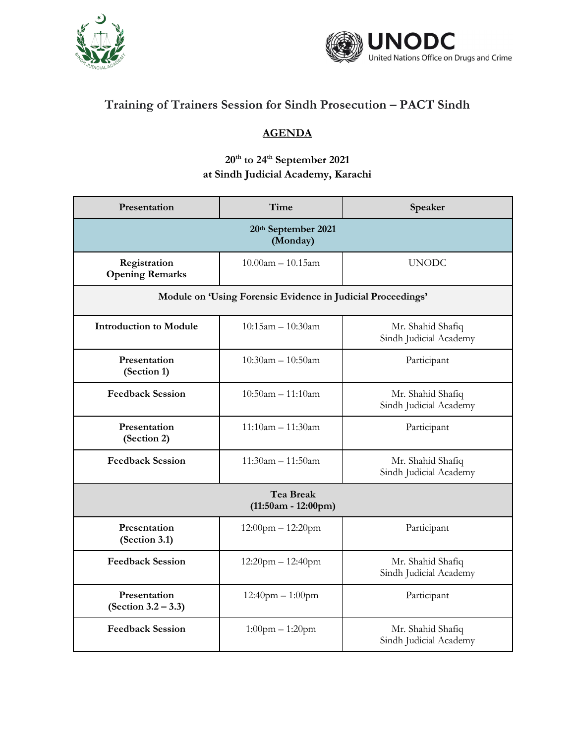



## **Training of Trainers Session for Sindh Prosecution – PACT Sindh**

## **AGENDA**

## **20th to 24th September 2021 at Sindh Judicial Academy, Karachi**

| Presentation                              | Time                                                        | Speaker                                     |  |
|-------------------------------------------|-------------------------------------------------------------|---------------------------------------------|--|
| 20th September 2021<br>(Monday)           |                                                             |                                             |  |
| Registration<br><b>Opening Remarks</b>    | $10.00$ am $- 10.15$ am                                     | <b>UNODC</b>                                |  |
|                                           | Module on 'Using Forensic Evidence in Judicial Proceedings' |                                             |  |
| <b>Introduction to Module</b>             | $10:15$ am $- 10:30$ am                                     | Mr. Shahid Shafiq<br>Sindh Judicial Academy |  |
| Presentation<br>(Section 1)               | $10:30$ am - $10:50$ am                                     | Participant                                 |  |
| <b>Feedback Session</b>                   | $10:50am - 11:10am$                                         | Mr. Shahid Shafiq<br>Sindh Judicial Academy |  |
| Presentation<br>(Section 2)               | $11:10am - 11:30am$                                         | Participant                                 |  |
| <b>Feedback Session</b>                   | $11:30am - 11:50am$                                         | Mr. Shahid Shafiq<br>Sindh Judicial Academy |  |
| <b>Tea Break</b><br>$(11:50am - 12:00pm)$ |                                                             |                                             |  |
| Presentation<br>(Section 3.1)             | $12:00$ pm $- 12:20$ pm                                     | Participant                                 |  |
| <b>Feedback Session</b>                   | 12:20pm - 12:40pm                                           | Mr. Shahid Shafiq<br>Sindh Judicial Academy |  |
| Presentation<br>$(Section 3.2 - 3.3)$     | $12:40$ pm $- 1:00$ pm                                      | Participant                                 |  |
| <b>Feedback Session</b>                   | $1:00$ pm $-1:20$ pm                                        | Mr. Shahid Shafiq<br>Sindh Judicial Academy |  |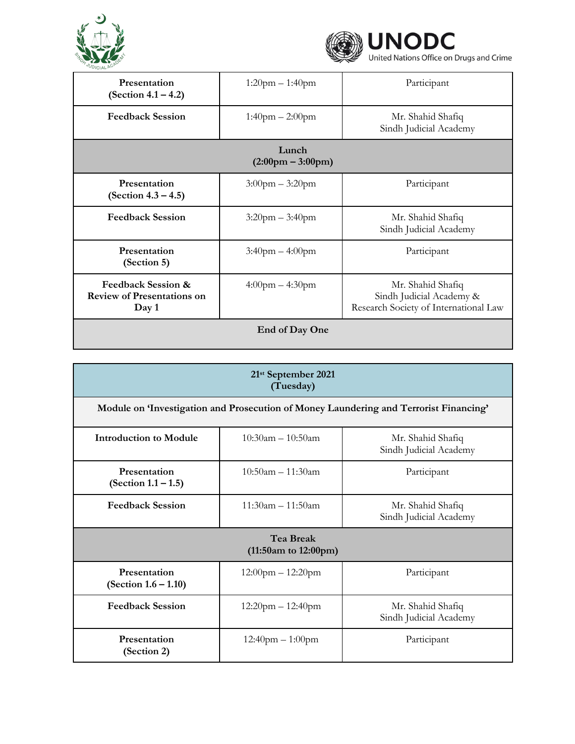



| Presentation<br>(Section $4.1 - 4.2$ )                                      | $1:20$ pm $-1:40$ pm              | Participant                                                                            |
|-----------------------------------------------------------------------------|-----------------------------------|----------------------------------------------------------------------------------------|
| <b>Feedback Session</b>                                                     | $1:40$ pm $- 2:00$ pm             | Mr. Shahid Shafiq<br>Sindh Judicial Academy                                            |
| Lunch<br>$(2:00 \text{pm} - 3:00 \text{pm})$                                |                                   |                                                                                        |
| Presentation<br>(Section $4.3 - 4.5$ )                                      | $3:00$ pm $-3:20$ pm              | Participant                                                                            |
| <b>Feedback Session</b>                                                     | $3:20$ pm $-3:40$ pm              | Mr. Shahid Shafiq<br>Sindh Judicial Academy                                            |
| Presentation<br>(Section 5)                                                 | $3:40$ pm $-4:00$ pm              | Participant                                                                            |
| <b>Feedback Session &amp;</b><br><b>Review of Presentations on</b><br>Day 1 | $4:00 \text{pm} - 4:30 \text{pm}$ | Mr. Shahid Shafiq<br>Sindh Judicial Academy &<br>Research Society of International Law |
| End of Day One                                                              |                                   |                                                                                        |

| 21 <sup>st</sup> September 2021<br>(Tuesday)  |                                                                                       |                                             |  |
|-----------------------------------------------|---------------------------------------------------------------------------------------|---------------------------------------------|--|
|                                               | Module on 'Investigation and Prosecution of Money Laundering and Terrorist Financing' |                                             |  |
| <b>Introduction to Module</b>                 | $10:30$ am – $10:50$ am                                                               | Mr. Shahid Shafiq<br>Sindh Judicial Academy |  |
| Presentation<br>(Section $1.1 - 1.5$ )        | $10:50$ am – 11:30am                                                                  | Participant                                 |  |
| <b>Feedback Session</b>                       | $11:30$ am – 11:50am                                                                  | Mr. Shahid Shafiq<br>Sindh Judicial Academy |  |
| <b>Tea Break</b><br>$(11:50am)$ to $12:00pm)$ |                                                                                       |                                             |  |
| Presentation<br>(Section $1.6 - 1.10$ )       | $12:00$ pm $- 12:20$ pm                                                               | Participant                                 |  |
| <b>Feedback Session</b>                       | $12:20$ pm $- 12:40$ pm                                                               | Mr. Shahid Shafiq<br>Sindh Judicial Academy |  |
| Presentation<br>(Section 2)                   | $12:40$ pm $-1:00$ pm                                                                 | Participant                                 |  |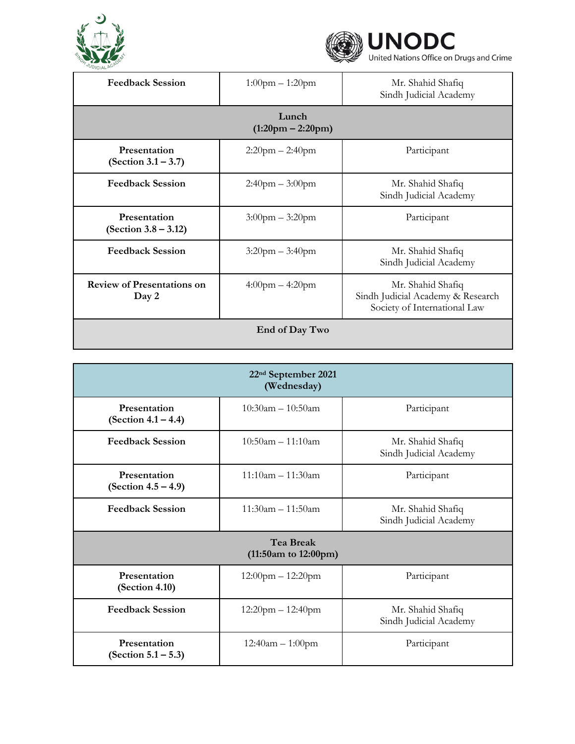



| $-0.11$                                    |                       |                                                                                        |
|--------------------------------------------|-----------------------|----------------------------------------------------------------------------------------|
| <b>Feedback Session</b>                    | $1:00$ pm $-1:20$ pm  | Mr. Shahid Shafiq<br>Sindh Judicial Academy                                            |
| Lunch<br>$(1:20pm - 2:20pm)$               |                       |                                                                                        |
| Presentation<br>(Section $3.1 - 3.7$ )     | $2:20$ pm $- 2:40$ pm | Participant                                                                            |
| <b>Feedback Session</b>                    | $2:40$ pm $-3:00$ pm  | Mr. Shahid Shafiq<br>Sindh Judicial Academy                                            |
| Presentation<br>(Section $3.8 - 3.12$ )    | $3:00$ pm $-3:20$ pm  | Participant                                                                            |
| <b>Feedback Session</b>                    | $3:20$ pm $-3:40$ pm  | Mr. Shahid Shafiq<br>Sindh Judicial Academy                                            |
| <b>Review of Presentations on</b><br>Day 2 | $4:00$ pm $-4:20$ pm  | Mr. Shahid Shafiq<br>Sindh Judicial Academy & Research<br>Society of International Law |
| End of Day Two                             |                       |                                                                                        |

| 22 <sup>nd</sup> September 2021<br>(Wednesday) |                                               |                                             |  |
|------------------------------------------------|-----------------------------------------------|---------------------------------------------|--|
| Presentation<br>(Section $4.1 - 4.4$ )         | $10:30$ am – $10:50$ am                       | Participant                                 |  |
| <b>Feedback Session</b>                        | $10:50$ am – 11:10am                          | Mr. Shahid Shafiq<br>Sindh Judicial Academy |  |
| Presentation<br>$(Section 4.5 - 4.9)$          | $11:10$ am – 11:30am                          | Participant                                 |  |
| <b>Feedback Session</b>                        | $11:30am - 11:50am$                           | Mr. Shahid Shafiq<br>Sindh Judicial Academy |  |
|                                                | <b>Tea Break</b><br>$(11:50am)$ to $12:00pm)$ |                                             |  |
| Presentation<br>(Section 4.10)                 | $12:00$ pm $- 12:20$ pm                       | Participant                                 |  |
| <b>Feedback Session</b>                        | $12:20$ pm $- 12:40$ pm                       | Mr. Shahid Shafiq<br>Sindh Judicial Academy |  |
| Presentation<br>(Section $5.1 - 5.3$ )         | $12:40am - 1:00pm$                            | Participant                                 |  |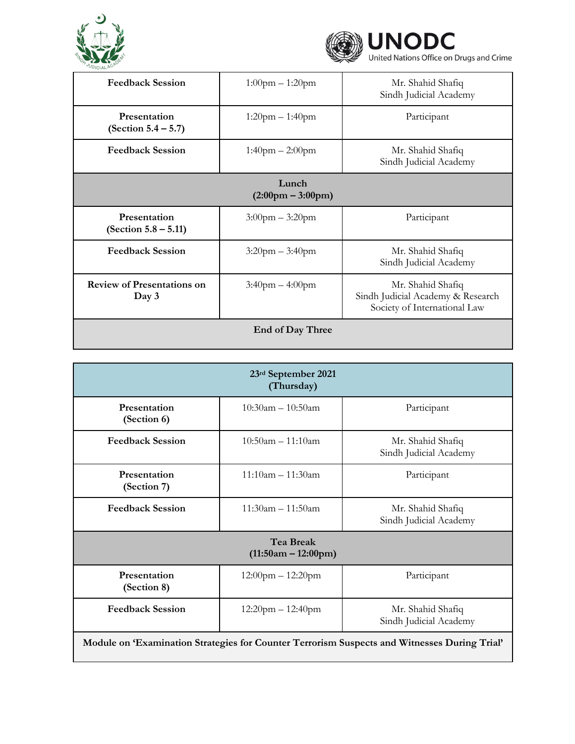



| .                                            |                       |                                                                                        |
|----------------------------------------------|-----------------------|----------------------------------------------------------------------------------------|
| <b>Feedback Session</b>                      | $1:00$ pm $-1:20$ pm  | Mr. Shahid Shafiq<br>Sindh Judicial Academy                                            |
| Presentation<br>(Section $5.4 - 5.7$ )       | $1:20$ pm $-1:40$ pm  | Participant                                                                            |
| <b>Feedback Session</b>                      | $1:40$ pm $- 2:00$ pm | Mr. Shahid Shafiq<br>Sindh Judicial Academy                                            |
| Lunch<br>$(2:00 \text{pm} - 3:00 \text{pm})$ |                       |                                                                                        |
| Presentation<br>(Section $5.8 - 5.11$ )      | $3:00$ pm $-3:20$ pm  | Participant                                                                            |
| <b>Feedback Session</b>                      | $3:20$ pm $-3:40$ pm  | Mr. Shahid Shafiq<br>Sindh Judicial Academy                                            |
| <b>Review of Presentations on</b><br>Day 3   | $3:40$ pm $-4:00$ pm  | Mr. Shahid Shafiq<br>Sindh Judicial Academy & Research<br>Society of International Law |
| <b>End of Day Three</b>                      |                       |                                                                                        |

| 23rd September 2021<br>(Thursday)                                                            |                         |                                             |
|----------------------------------------------------------------------------------------------|-------------------------|---------------------------------------------|
| Presentation<br>(Section 6)                                                                  | $10:30$ am – $10:50$ am | Participant                                 |
| <b>Feedback Session</b>                                                                      | $10:50$ am – 11:10am    | Mr. Shahid Shafiq<br>Sindh Judicial Academy |
| Presentation<br>(Section 7)                                                                  | $11:10$ am – 11:30am    | Participant                                 |
| <b>Feedback Session</b>                                                                      | $11:30$ am - $11:50$ am | Mr. Shahid Shafiq<br>Sindh Judicial Academy |
| <b>Tea Break</b><br>$(11:50am - 12:00pm)$                                                    |                         |                                             |
| Presentation<br>(Section 8)                                                                  | $12:00$ pm $- 12:20$ pm | Participant                                 |
| <b>Feedback Session</b>                                                                      | $12:20$ pm $-12:40$ pm  | Mr. Shahid Shafiq<br>Sindh Judicial Academy |
| Module on 'Examination Strategies for Counter Terrorism Suspects and Witnesses During Trial' |                         |                                             |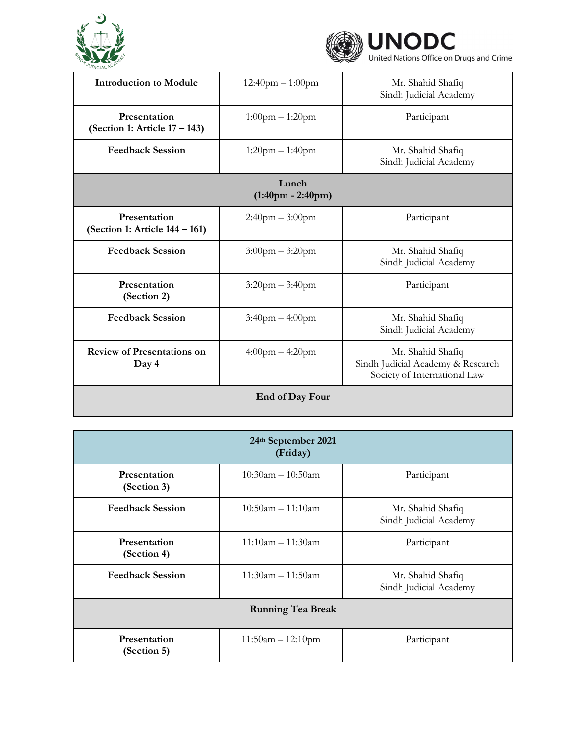



| <b>Introduction to Module</b>                        | $12:40$ pm $-1:00$ pm | Mr. Shahid Shafiq<br>Sindh Judicial Academy                                            |  |
|------------------------------------------------------|-----------------------|----------------------------------------------------------------------------------------|--|
| <b>Presentation</b><br>(Section 1: Article 17 – 143) | $1:00$ pm $-1:20$ pm  | Participant                                                                            |  |
| <b>Feedback Session</b>                              | $1:20$ pm $-1:40$ pm  | Mr. Shahid Shafiq<br>Sindh Judicial Academy                                            |  |
| Lunch<br>$(1:40 \text{pm} - 2:40 \text{pm})$         |                       |                                                                                        |  |
| Presentation<br>(Section 1: Article 144 – 161)       | $2:40$ pm $-3:00$ pm  | Participant                                                                            |  |
| <b>Feedback Session</b>                              | $3:00$ pm $-3:20$ pm  | Mr. Shahid Shafiq<br>Sindh Judicial Academy                                            |  |
| Presentation<br>(Section 2)                          | $3:20$ pm $-3:40$ pm  | Participant                                                                            |  |
| <b>Feedback Session</b>                              | $3:40$ pm $-4:00$ pm  | Mr. Shahid Shafiq<br>Sindh Judicial Academy                                            |  |
| <b>Review of Presentations on</b><br>Day 4           | $4:00$ pm $-4:20$ pm  | Mr. Shahid Shafiq<br>Sindh Judicial Academy & Research<br>Society of International Law |  |
| End of Day Four                                      |                       |                                                                                        |  |

| 24th September 2021<br>(Friday) |                         |                                             |
|---------------------------------|-------------------------|---------------------------------------------|
| Presentation<br>(Section 3)     | $10:30$ am - $10:50$ am | Participant                                 |
| <b>Feedback Session</b>         | $10:50$ am - 11:10am    | Mr. Shahid Shafiq<br>Sindh Judicial Academy |
| Presentation<br>(Section 4)     | $11:10$ am - $11:30$ am | Participant                                 |
| <b>Feedback Session</b>         | $11:30$ am - $11:50$ am | Mr. Shahid Shafiq<br>Sindh Judicial Academy |
| <b>Running Tea Break</b>        |                         |                                             |
| Presentation<br>(Section 5)     | $11:50am - 12:10pm$     | Participant                                 |